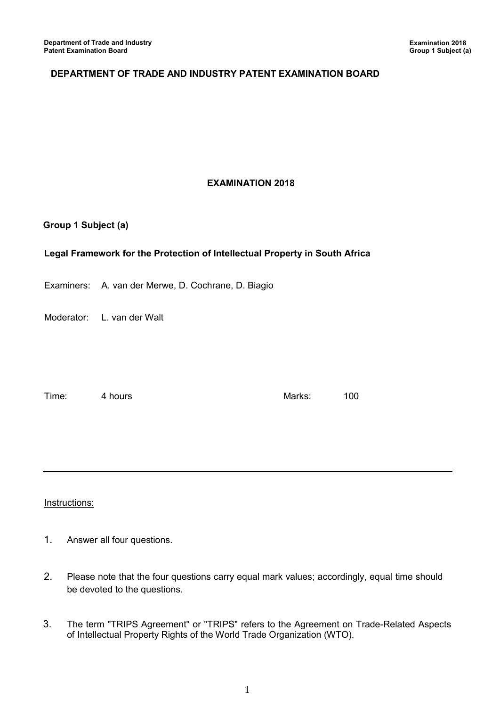# **DEPARTMENT OF TRADE AND INDUSTRY PATENT EXAMINATION BOARD**

## **EXAMINATION 2018**

#### **Group 1 Subject (a)**

# **Legal Framework for the Protection of Intellectual Property in South Africa**

Examiners: A. van der Merwe, D. Cochrane, D. Biagio

Moderator: L. van der Walt

Time: 4 hours and 100

## Instructions:

- 1. Answer all four questions.
- 2. Please note that the four questions carry equal mark values; accordingly, equal time should be devoted to the questions.
- 3. The term "TRIPS Agreement" or "TRIPS" refers to the Agreement on Trade-Related Aspects of Intellectual Property Rights of the World Trade Organization (WTO).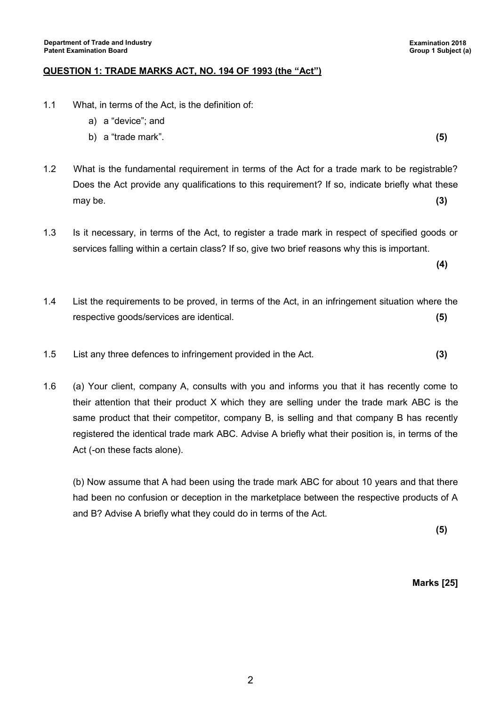#### **QUESTION 1: TRADE MARKS ACT, NO. 194 OF 1993 (the "Act")**

- 1.1 What, in terms of the Act, is the definition of:
	- a) a "device"; and
	- b) a "trade mark". **(5)**
- 1.2 What is the fundamental requirement in terms of the Act for a trade mark to be registrable? Does the Act provide any qualifications to this requirement? If so, indicate briefly what these may be. **(3)**
- 1.3 Is it necessary, in terms of the Act, to register a trade mark in respect of specified goods or services falling within a certain class? If so, give two brief reasons why this is important.
- 1.4 List the requirements to be proved, in terms of the Act, in an infringement situation where the respective goods/services are identical. **(5)**
- 1.5 List any three defences to infringement provided in the Act. **(3)**
- 1.6 (a) Your client, company A, consults with you and informs you that it has recently come to their attention that their product X which they are selling under the trade mark ABC is the same product that their competitor, company B, is selling and that company B has recently registered the identical trade mark ABC. Advise A briefly what their position is, in terms of the Act (-on these facts alone).

(b) Now assume that A had been using the trade mark ABC for about 10 years and that there had been no confusion or deception in the marketplace between the respective products of A and B? Advise A briefly what they could do in terms of the Act.

**(5)**

**Marks [25]**

**(4)**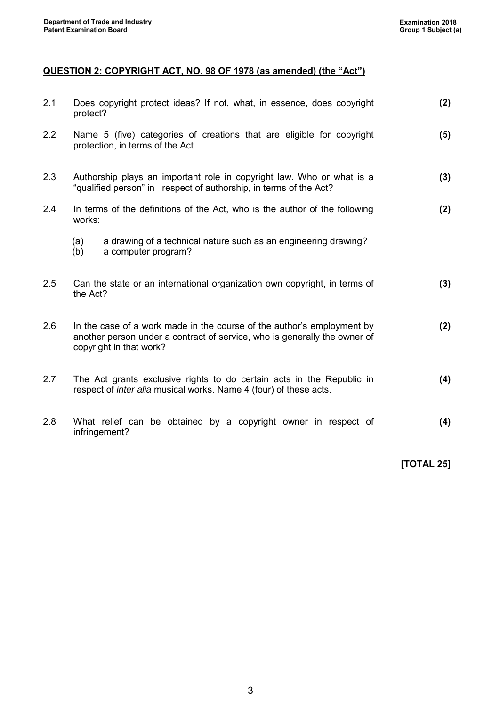# **QUESTION 2: COPYRIGHT ACT, NO. 98 OF 1978 (as amended) (the "Act")**

| 2.1 | Does copyright protect ideas? If not, what, in essence, does copyright<br>protect?                                                                                             | (2) |
|-----|--------------------------------------------------------------------------------------------------------------------------------------------------------------------------------|-----|
| 2.2 | Name 5 (five) categories of creations that are eligible for copyright<br>protection, in terms of the Act.                                                                      | (5) |
| 2.3 | Authorship plays an important role in copyright law. Who or what is a<br>"qualified person" in respect of authorship, in terms of the Act?                                     | (3) |
| 2.4 | In terms of the definitions of the Act, who is the author of the following<br>works:                                                                                           | (2) |
|     | a drawing of a technical nature such as an engineering drawing?<br>(a)<br>(b)<br>a computer program?                                                                           |     |
| 2.5 | Can the state or an international organization own copyright, in terms of<br>the Act?                                                                                          | (3) |
| 2.6 | In the case of a work made in the course of the author's employment by<br>another person under a contract of service, who is generally the owner of<br>copyright in that work? | (2) |
| 2.7 | The Act grants exclusive rights to do certain acts in the Republic in<br>respect of <i>inter alia</i> musical works. Name 4 (four) of these acts.                              | (4) |
| 2.8 | What relief can be obtained by a copyright owner in respect of<br>infringement?                                                                                                | (4) |

**[TOTAL 25]**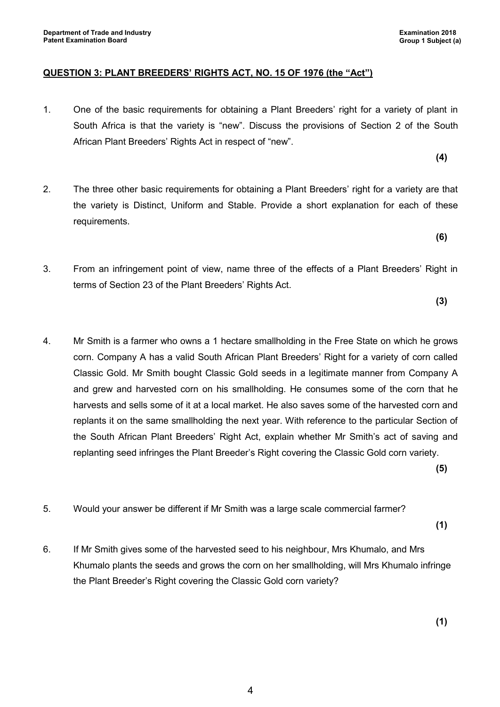#### **QUESTION 3: PLANT BREEDERS' RIGHTS ACT, NO. 15 OF 1976 (the "Act")**

1. One of the basic requirements for obtaining a Plant Breeders' right for a variety of plant in South Africa is that the variety is "new". Discuss the provisions of Section 2 of the South African Plant Breeders' Rights Act in respect of "new".

**(4)**

- 2. The three other basic requirements for obtaining a Plant Breeders' right for a variety are that the variety is Distinct, Uniform and Stable. Provide a short explanation for each of these requirements.
- 3. From an infringement point of view, name three of the effects of a Plant Breeders' Right in terms of Section 23 of the Plant Breeders' Rights Act.

**(3)**

**(6)**

4. Mr Smith is a farmer who owns a 1 hectare smallholding in the Free State on which he grows corn. Company A has a valid South African Plant Breeders' Right for a variety of corn called Classic Gold. Mr Smith bought Classic Gold seeds in a legitimate manner from Company A and grew and harvested corn on his smallholding. He consumes some of the corn that he harvests and sells some of it at a local market. He also saves some of the harvested corn and replants it on the same smallholding the next year. With reference to the particular Section of the South African Plant Breeders' Right Act, explain whether Mr Smith's act of saving and replanting seed infringes the Plant Breeder's Right covering the Classic Gold corn variety.

**(5)**

5. Would your answer be different if Mr Smith was a large scale commercial farmer?

**(1)**

6. If Mr Smith gives some of the harvested seed to his neighbour, Mrs Khumalo, and Mrs Khumalo plants the seeds and grows the corn on her smallholding, will Mrs Khumalo infringe the Plant Breeder's Right covering the Classic Gold corn variety?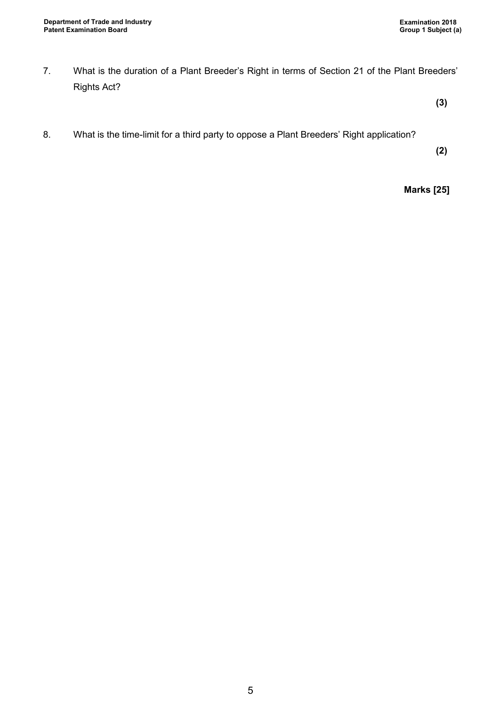7. What is the duration of a Plant Breeder's Right in terms of Section 21 of the Plant Breeders' Rights Act?

**(3)**

8. What is the time-limit for a third party to oppose a Plant Breeders' Right application?

**(2)**

**Marks [25]**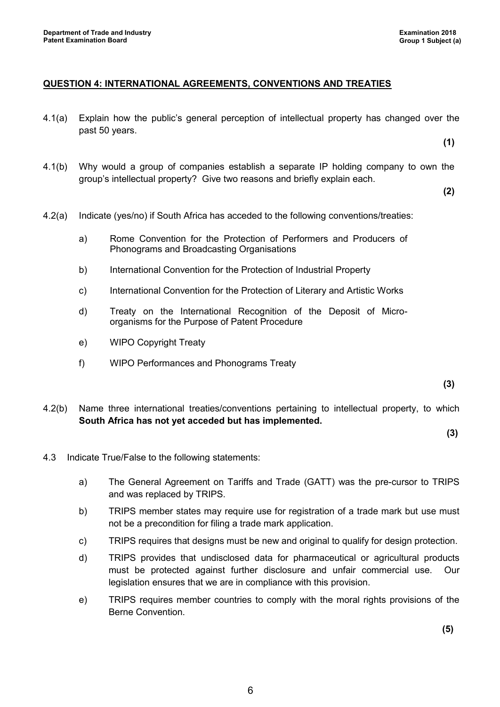## **QUESTION 4: INTERNATIONAL AGREEMENTS, CONVENTIONS AND TREATIES**

4.1(a) Explain how the public's general perception of intellectual property has changed over the past 50 years.

**(1)**

4.1(b) Why would a group of companies establish a separate IP holding company to own the group's intellectual property? Give two reasons and briefly explain each.

**(2)**

- 4.2(a) Indicate (yes/no) if South Africa has acceded to the following conventions/treaties:
	- a) Rome Convention for the Protection of Performers and Producers of Phonograms and Broadcasting Organisations
	- b) International Convention for the Protection of Industrial Property
	- c) International Convention for the Protection of Literary and Artistic Works
	- d) Treaty on the International Recognition of the Deposit of Microorganisms for the Purpose of Patent Procedure
	- e) WIPO Copyright Treaty
	- f) WIPO Performances and Phonograms Treaty

**(3)**

4.2(b) Name three international treaties/conventions pertaining to intellectual property, to which **South Africa has not yet acceded but has implemented.**

**(3)**

- 4.3 Indicate True/False to the following statements:
	- a) The General Agreement on Tariffs and Trade (GATT) was the pre-cursor to TRIPS and was replaced by TRIPS.
	- b) TRIPS member states may require use for registration of a trade mark but use must not be a precondition for filing a trade mark application.
	- c) TRIPS requires that designs must be new and original to qualify for design protection.
	- d) TRIPS provides that undisclosed data for pharmaceutical or agricultural products must be protected against further disclosure and unfair commercial use. Our legislation ensures that we are in compliance with this provision.
	- e) TRIPS requires member countries to comply with the moral rights provisions of the Berne Convention.

**(5)**